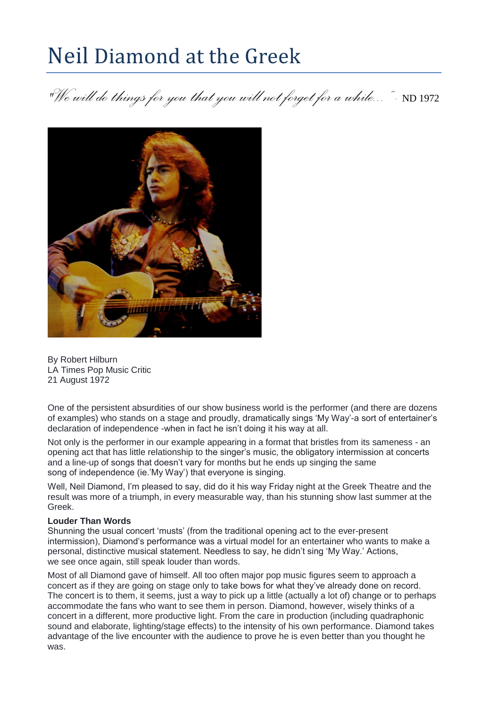## Neil Diamond at the Greek

*"Wewill do things foryou thatyouwillnot forget for awhile..." -* ND <sup>1972</sup>



By Robert Hilburn LA Times Pop Music Critic 21 August 1972

One of the persistent absurdities of our show business world is the performer (and there are dozens of examples) who stands on a stage and proudly, dramatically sings 'My Way'-a sort of entertainer's declaration of independence -when in fact he isn't doing it his way at all.

Not only is the performer in our example appearing in a format that bristles from its sameness - an opening act that has little relationship to the singer's music, the obligatory intermission at concerts and a line-up of songs that doesn't vary for months but he ends up singing the same song of independence (ie.'My Way') that everyone is singing.

Well, Neil Diamond, I'm pleased to say, did do it his way Friday night at the Greek Theatre and the result was more of a triumph, in every measurable way, than his stunning show last summer at the Greek.

## **Louder Than Words**

Shunning the usual concert 'musts' (from the traditional opening act to the ever-present intermission), Diamond's performance was a virtual model for an entertainer who wants to make a personal, distinctive musical statement. Needless to say, he didn't sing 'My Way.' Actions, we see once again, still speak louder than words.

Most of all Diamond gave of himself. All too often major pop music figures seem to approach a concert as if they are going on stage only to take bows for what they've already done on record. The concert is to them, it seems, just a way to pick up a little (actually a lot of) change or to perhaps accommodate the fans who want to see them in person. Diamond, however, wisely thinks of a concert in a different, more productive light. From the care in production (including quadraphonic sound and elaborate, lighting/stage effects) to the intensity of his own performance. Diamond takes advantage of the live encounter with the audience to prove he is even better than you thought he was.